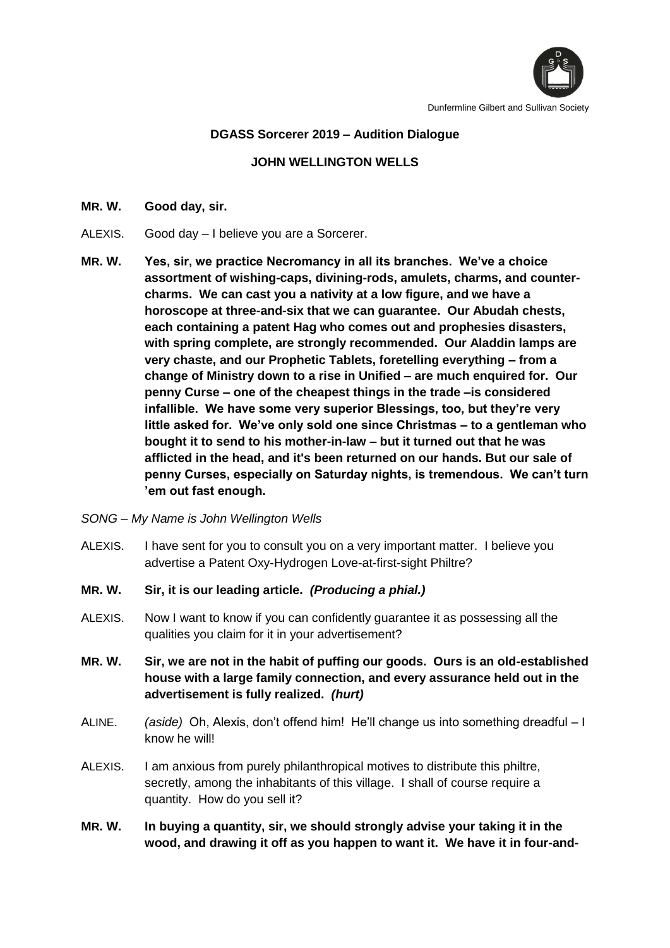

Dunfermline Gilbert and Sullivan Society

## **DGASS Sorcerer 2019 – Audition Dialogue**

## **JOHN WELLINGTON WELLS**

## **MR. W. Good day, sir.**

- ALEXIS. Good day I believe you are a Sorcerer.
- **MR. W. Yes, sir, we practice Necromancy in all its branches. We've a choice assortment of wishing-caps, divining-rods, amulets, charms, and countercharms. We can cast you a nativity at a low figure, and we have a horoscope at three-and-six that we can guarantee. Our Abudah chests, each containing a patent Hag who comes out and prophesies disasters, with spring complete, are strongly recommended. Our Aladdin lamps are very chaste, and our Prophetic Tablets, foretelling everything – from a change of Ministry down to a rise in Unified – are much enquired for. Our penny Curse – one of the cheapest things in the trade –is considered infallible. We have some very superior Blessings, too, but they're very little asked for. We've only sold one since Christmas – to a gentleman who bought it to send to his mother-in-law – but it turned out that he was afflicted in the head, and it's been returned on our hands. But our sale of penny Curses, especially on Saturday nights, is tremendous. We can't turn 'em out fast enough.**
- *SONG – My Name is John Wellington Wells*
- ALEXIS. I have sent for you to consult you on a very important matter. I believe you advertise a Patent Oxy-Hydrogen Love-at-first-sight Philtre?
- **MR. W. Sir, it is our leading article.** *(Producing a phial.)*
- ALEXIS. Now I want to know if you can confidently guarantee it as possessing all the qualities you claim for it in your advertisement?
- **MR. W. Sir, we are not in the habit of puffing our goods. Ours is an old-established house with a large family connection, and every assurance held out in the advertisement is fully realized.** *(hurt)*
- ALINE. *(aside)* Oh, Alexis, don't offend him! He'll change us into something dreadful I know he will!
- ALEXIS. I am anxious from purely philanthropical motives to distribute this philtre, secretly, among the inhabitants of this village. I shall of course require a quantity. How do you sell it?
- **MR. W. In buying a quantity, sir, we should strongly advise your taking it in the wood, and drawing it off as you happen to want it. We have it in four-and-**